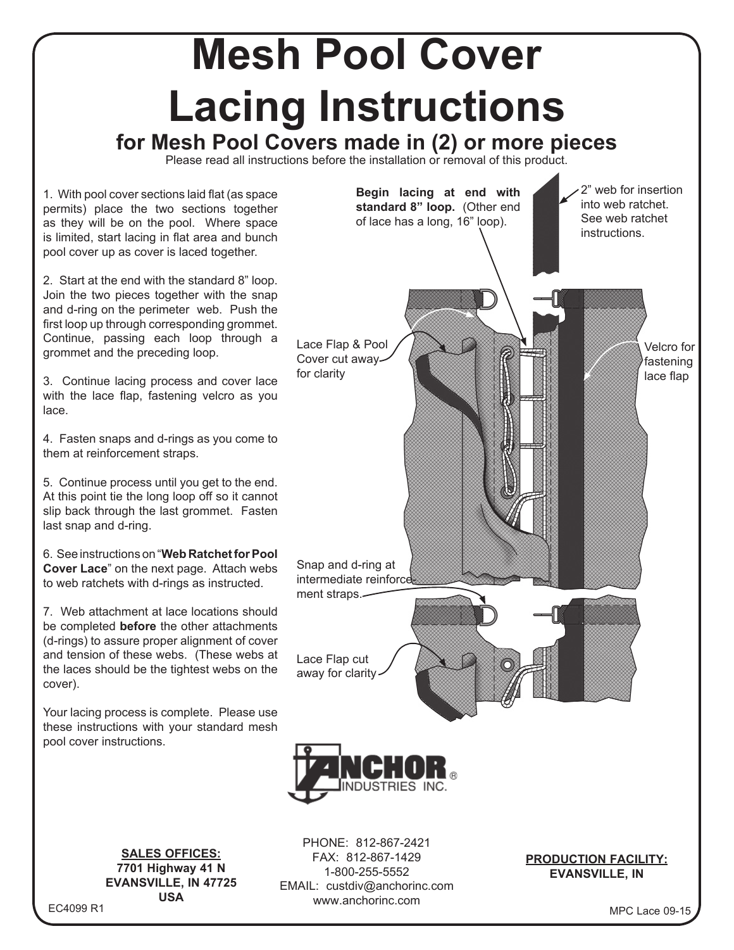## **Mesh Pool Cover Lacing Instructions**

**for Mesh Pool Covers made in (2) or more pieces**

Please read all instructions before the installation or removal of this product.

www.anchorinc.com

1. With pool cover sections laid flat (as space permits) place the two sections together as they will be on the pool. Where space is limited, start lacing in flat area and bunch pool cover up as cover is laced together.

2. Start at the end with the standard 8" loop. Join the two pieces together with the snap and d-ring on the perimeter web. Push the first loop up through corresponding grommet. Continue, passing each loop through a grommet and the preceding loop.

3. Continue lacing process and cover lace with the lace flap, fastening velcro as you lace.

4. Fasten snaps and d-rings as you come to them at reinforcement straps.

5. Continue process until you get to the end. At this point tie the long loop off so it cannot slip back through the last grommet. Fasten last snap and d-ring.

6. See instructions on "**Web Ratchet for Pool Cover Lace**" on the next page. Attach webs to web ratchets with d-rings as instructed.

7. Web attachment at lace locations should be completed **before** the other attachments (d-rings) to assure proper alignment of cover and tension of these webs. (These webs at the laces should be the tightest webs on the cover).

Your lacing process is complete. Please use these instructions with your standard mesh pool cover instructions.

> **SALES OFFICES: 7701 Highway 41 N EVANSVILLE, IN 47725 USA**



EC4099 R1

MPC Lace 09-15